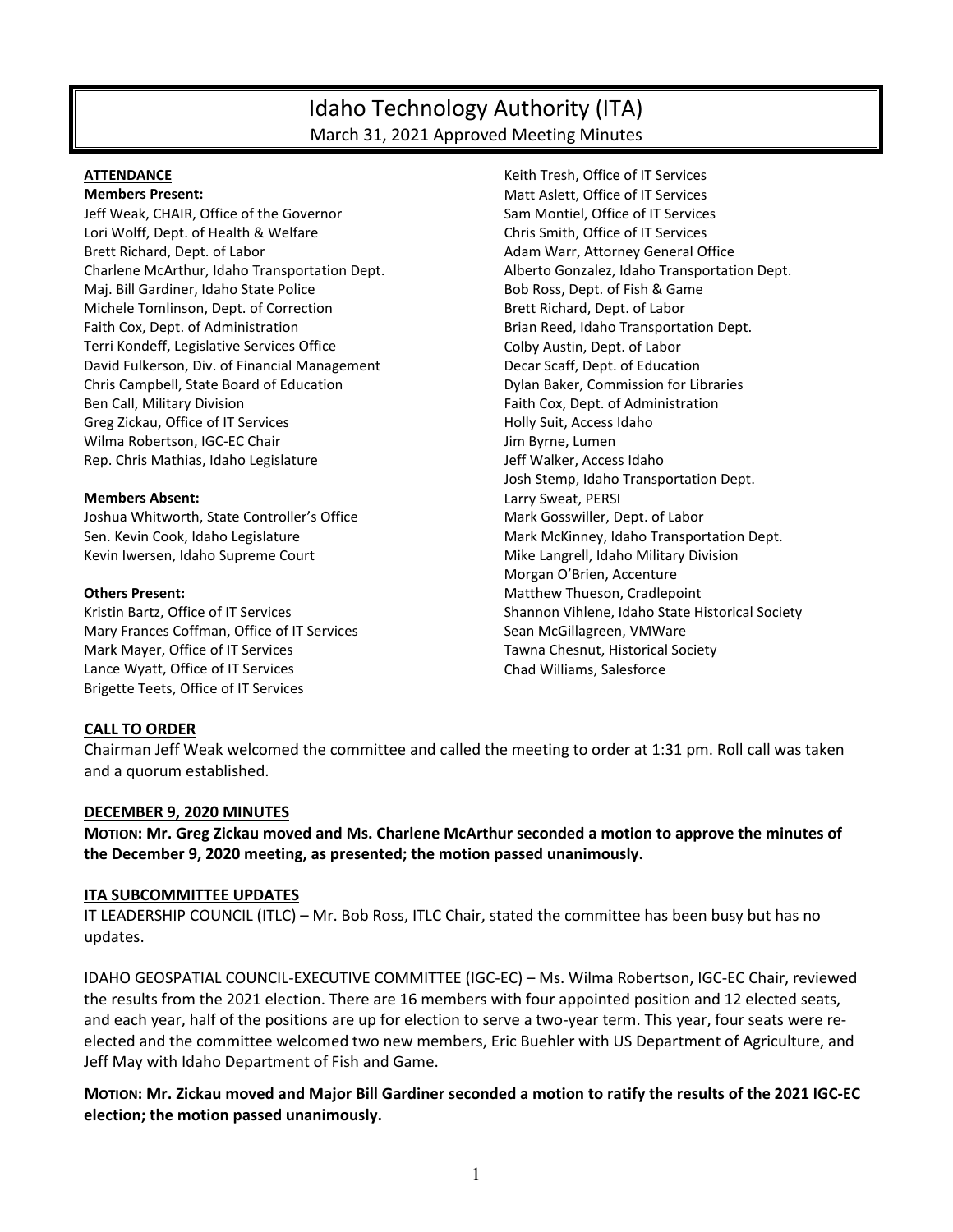# Idaho Technology Authority (ITA) March 31, 2021 Approved Meeting Minutes

#### **ATTENDANCE**

**Members Present:**

Jeff Weak, CHAIR, Office of the Governor Lori Wolff, Dept. of Health & Welfare Brett Richard, Dept. of Labor Charlene McArthur, Idaho Transportation Dept. Maj. Bill Gardiner, Idaho State Police Michele Tomlinson, Dept. of Correction Faith Cox, Dept. of Administration Terri Kondeff, Legislative Services Office David Fulkerson, Div. of Financial Management Chris Campbell, State Board of Education Ben Call, Military Division Greg Zickau, Office of IT Services Wilma Robertson, IGC-EC Chair Rep. Chris Mathias, Idaho Legislature

#### **Members Absent:**

Joshua Whitworth, State Controller's Office Sen. Kevin Cook, Idaho Legislature Kevin Iwersen, Idaho Supreme Court

#### **Others Present:**

Kristin Bartz, Office of IT Services Mary Frances Coffman, Office of IT Services Mark Mayer, Office of IT Services Lance Wyatt, Office of IT Services Brigette Teets, Office of IT Services

Keith Tresh, Office of IT Services Matt Aslett, Office of IT Services Sam Montiel, Office of IT Services Chris Smith, Office of IT Services Adam Warr, Attorney General Office Alberto Gonzalez, Idaho Transportation Dept. Bob Ross, Dept. of Fish & Game Brett Richard, Dept. of Labor Brian Reed, Idaho Transportation Dept. Colby Austin, Dept. of Labor Decar Scaff, Dept. of Education Dylan Baker, Commission for Libraries Faith Cox, Dept. of Administration Holly Suit, Access Idaho Jim Byrne, Lumen Jeff Walker, Access Idaho Josh Stemp, Idaho Transportation Dept. Larry Sweat, PERSI Mark Gosswiller, Dept. of Labor Mark McKinney, Idaho Transportation Dept. Mike Langrell, Idaho Military Division Morgan O'Brien, Accenture Matthew Thueson, Cradlepoint Shannon Vihlene, Idaho State Historical Society Sean McGillagreen, VMWare Tawna Chesnut, Historical Society Chad Williams, Salesforce

# **CALL TO ORDER**

Chairman Jeff Weak welcomed the committee and called the meeting to order at 1:31 pm. Roll call was taken and a quorum established.

#### **DECEMBER 9, 2020 MINUTES**

**MOTION: Mr. Greg Zickau moved and Ms. Charlene McArthur seconded a motion to approve the minutes of the December 9, 2020 meeting, as presented; the motion passed unanimously.** 

#### **ITA SUBCOMMITTEE UPDATES**

IT LEADERSHIP COUNCIL (ITLC) – Mr. Bob Ross, ITLC Chair, stated the committee has been busy but has no updates.

IDAHO GEOSPATIAL COUNCIL-EXECUTIVE COMMITTEE (IGC-EC) – Ms. Wilma Robertson, IGC-EC Chair, reviewed the results from the 2021 election. There are 16 members with four appointed position and 12 elected seats, and each year, half of the positions are up for election to serve a two-year term. This year, four seats were reelected and the committee welcomed two new members, Eric Buehler with US Department of Agriculture, and Jeff May with Idaho Department of Fish and Game.

**MOTION: Mr. Zickau moved and Major Bill Gardiner seconded a motion to ratify the results of the 2021 IGC-EC election; the motion passed unanimously.**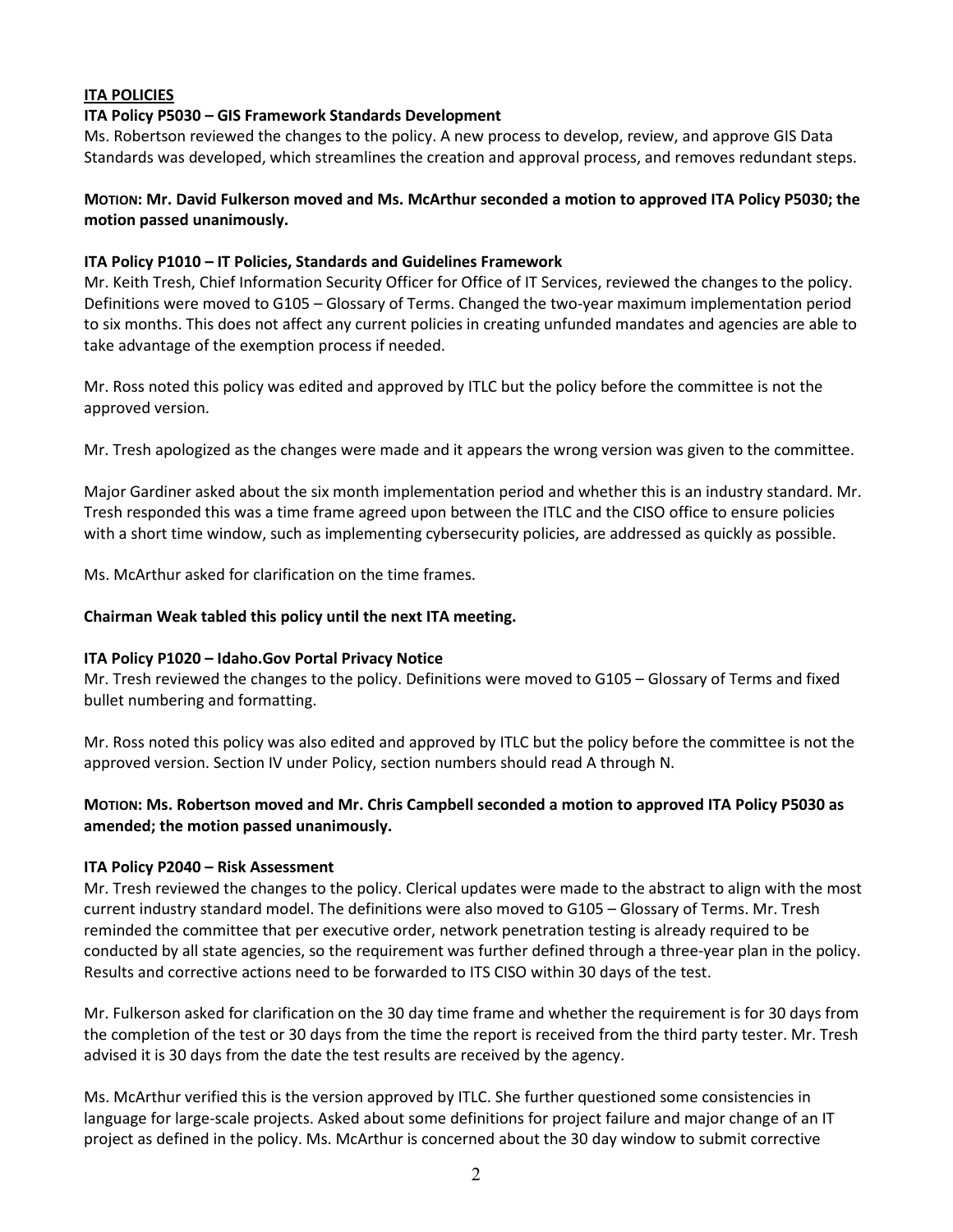# **ITA POLICIES**

# **ITA Policy P5030 – GIS Framework Standards Development**

Ms. Robertson reviewed the changes to the policy. A new process to develop, review, and approve GIS Data Standards was developed, which streamlines the creation and approval process, and removes redundant steps.

# **MOTION: Mr. David Fulkerson moved and Ms. McArthur seconded a motion to approved ITA Policy P5030; the motion passed unanimously.**

# **ITA Policy P1010 – IT Policies, Standards and Guidelines Framework**

Mr. Keith Tresh, Chief Information Security Officer for Office of IT Services, reviewed the changes to the policy. Definitions were moved to G105 – Glossary of Terms. Changed the two-year maximum implementation period to six months. This does not affect any current policies in creating unfunded mandates and agencies are able to take advantage of the exemption process if needed.

Mr. Ross noted this policy was edited and approved by ITLC but the policy before the committee is not the approved version.

Mr. Tresh apologized as the changes were made and it appears the wrong version was given to the committee.

Major Gardiner asked about the six month implementation period and whether this is an industry standard. Mr. Tresh responded this was a time frame agreed upon between the ITLC and the CISO office to ensure policies with a short time window, such as implementing cybersecurity policies, are addressed as quickly as possible.

Ms. McArthur asked for clarification on the time frames.

# **Chairman Weak tabled this policy until the next ITA meeting.**

# **ITA Policy P1020 – Idaho.Gov Portal Privacy Notice**

Mr. Tresh reviewed the changes to the policy. Definitions were moved to G105 – Glossary of Terms and fixed bullet numbering and formatting.

Mr. Ross noted this policy was also edited and approved by ITLC but the policy before the committee is not the approved version. Section IV under Policy, section numbers should read A through N.

# **MOTION: Ms. Robertson moved and Mr. Chris Campbell seconded a motion to approved ITA Policy P5030 as amended; the motion passed unanimously.**

# **ITA Policy P2040 – Risk Assessment**

Mr. Tresh reviewed the changes to the policy. Clerical updates were made to the abstract to align with the most current industry standard model. The definitions were also moved to G105 – Glossary of Terms. Mr. Tresh reminded the committee that per executive order, network penetration testing is already required to be conducted by all state agencies, so the requirement was further defined through a three-year plan in the policy. Results and corrective actions need to be forwarded to ITS CISO within 30 days of the test.

Mr. Fulkerson asked for clarification on the 30 day time frame and whether the requirement is for 30 days from the completion of the test or 30 days from the time the report is received from the third party tester. Mr. Tresh advised it is 30 days from the date the test results are received by the agency.

Ms. McArthur verified this is the version approved by ITLC. She further questioned some consistencies in language for large-scale projects. Asked about some definitions for project failure and major change of an IT project as defined in the policy. Ms. McArthur is concerned about the 30 day window to submit corrective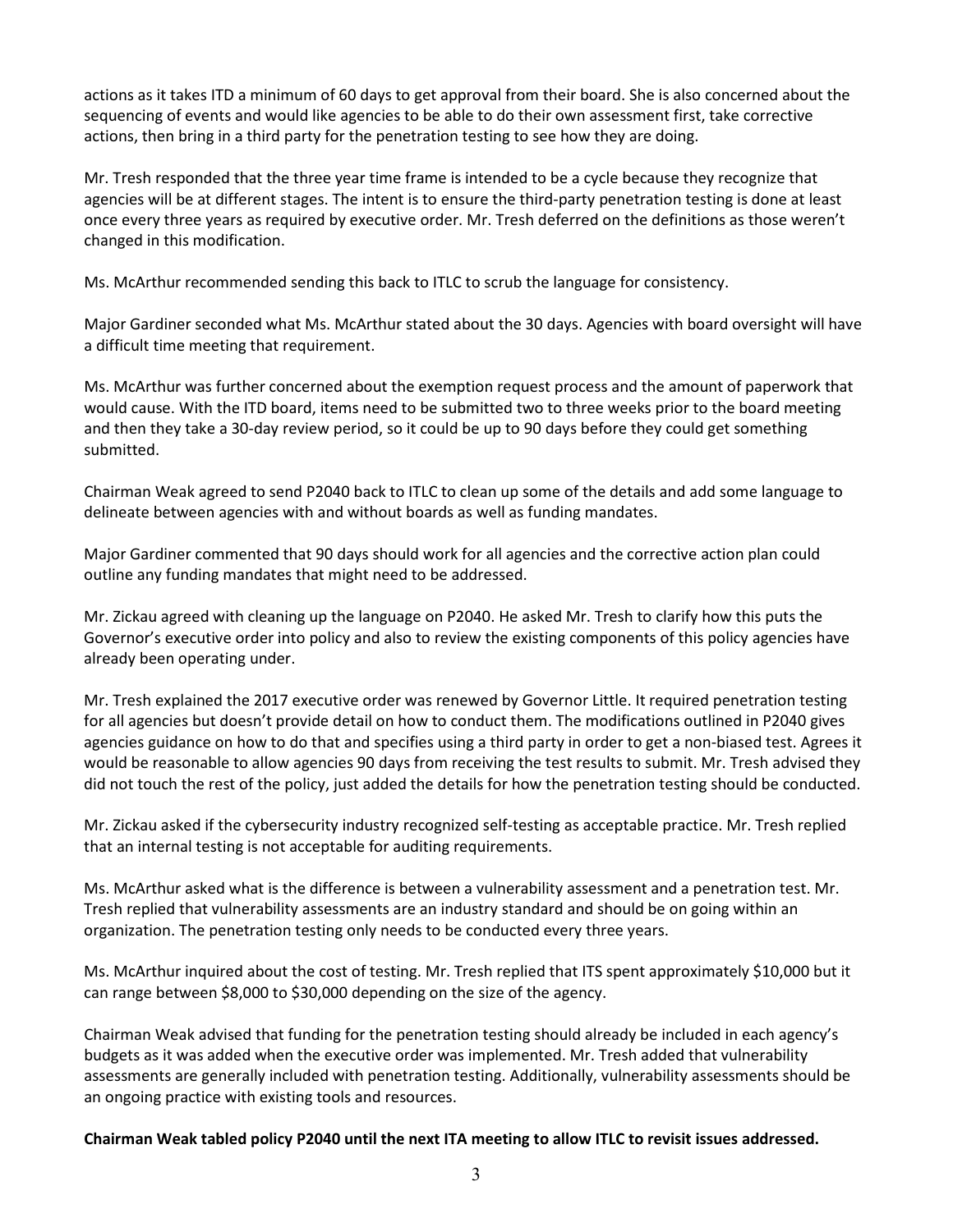actions as it takes ITD a minimum of 60 days to get approval from their board. She is also concerned about the sequencing of events and would like agencies to be able to do their own assessment first, take corrective actions, then bring in a third party for the penetration testing to see how they are doing.

Mr. Tresh responded that the three year time frame is intended to be a cycle because they recognize that agencies will be at different stages. The intent is to ensure the third-party penetration testing is done at least once every three years as required by executive order. Mr. Tresh deferred on the definitions as those weren't changed in this modification.

Ms. McArthur recommended sending this back to ITLC to scrub the language for consistency.

Major Gardiner seconded what Ms. McArthur stated about the 30 days. Agencies with board oversight will have a difficult time meeting that requirement.

Ms. McArthur was further concerned about the exemption request process and the amount of paperwork that would cause. With the ITD board, items need to be submitted two to three weeks prior to the board meeting and then they take a 30-day review period, so it could be up to 90 days before they could get something submitted.

Chairman Weak agreed to send P2040 back to ITLC to clean up some of the details and add some language to delineate between agencies with and without boards as well as funding mandates.

Major Gardiner commented that 90 days should work for all agencies and the corrective action plan could outline any funding mandates that might need to be addressed.

Mr. Zickau agreed with cleaning up the language on P2040. He asked Mr. Tresh to clarify how this puts the Governor's executive order into policy and also to review the existing components of this policy agencies have already been operating under.

Mr. Tresh explained the 2017 executive order was renewed by Governor Little. It required penetration testing for all agencies but doesn't provide detail on how to conduct them. The modifications outlined in P2040 gives agencies guidance on how to do that and specifies using a third party in order to get a non-biased test. Agrees it would be reasonable to allow agencies 90 days from receiving the test results to submit. Mr. Tresh advised they did not touch the rest of the policy, just added the details for how the penetration testing should be conducted.

Mr. Zickau asked if the cybersecurity industry recognized self-testing as acceptable practice. Mr. Tresh replied that an internal testing is not acceptable for auditing requirements.

Ms. McArthur asked what is the difference is between a vulnerability assessment and a penetration test. Mr. Tresh replied that vulnerability assessments are an industry standard and should be on going within an organization. The penetration testing only needs to be conducted every three years.

Ms. McArthur inquired about the cost of testing. Mr. Tresh replied that ITS spent approximately \$10,000 but it can range between \$8,000 to \$30,000 depending on the size of the agency.

Chairman Weak advised that funding for the penetration testing should already be included in each agency's budgets as it was added when the executive order was implemented. Mr. Tresh added that vulnerability assessments are generally included with penetration testing. Additionally, vulnerability assessments should be an ongoing practice with existing tools and resources.

**Chairman Weak tabled policy P2040 until the next ITA meeting to allow ITLC to revisit issues addressed.**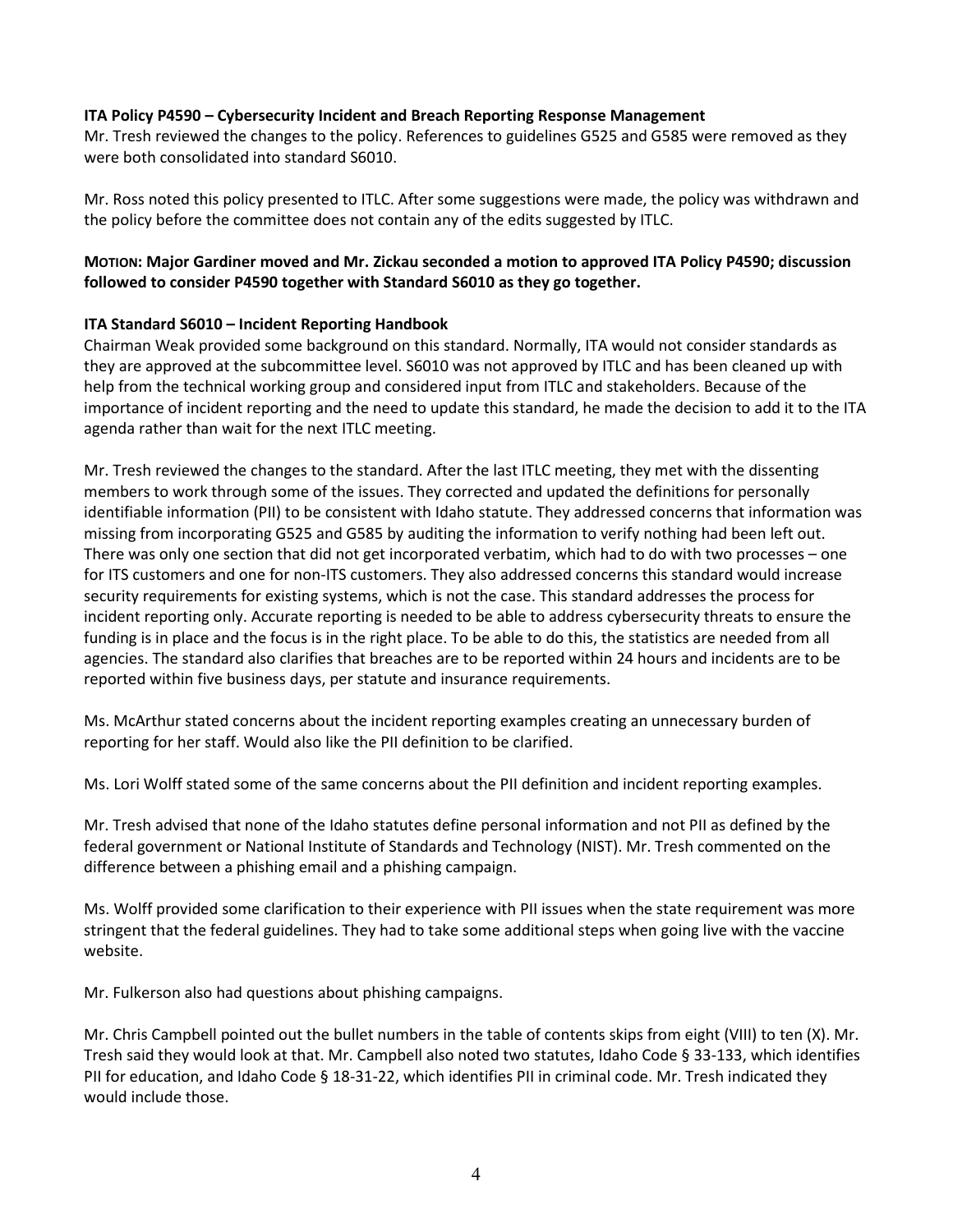# **ITA Policy P4590 – Cybersecurity Incident and Breach Reporting Response Management**

Mr. Tresh reviewed the changes to the policy. References to guidelines G525 and G585 were removed as they were both consolidated into standard S6010.

Mr. Ross noted this policy presented to ITLC. After some suggestions were made, the policy was withdrawn and the policy before the committee does not contain any of the edits suggested by ITLC.

# **MOTION: Major Gardiner moved and Mr. Zickau seconded a motion to approved ITA Policy P4590; discussion followed to consider P4590 together with Standard S6010 as they go together.**

# **ITA Standard S6010 – Incident Reporting Handbook**

Chairman Weak provided some background on this standard. Normally, ITA would not consider standards as they are approved at the subcommittee level. S6010 was not approved by ITLC and has been cleaned up with help from the technical working group and considered input from ITLC and stakeholders. Because of the importance of incident reporting and the need to update this standard, he made the decision to add it to the ITA agenda rather than wait for the next ITLC meeting.

Mr. Tresh reviewed the changes to the standard. After the last ITLC meeting, they met with the dissenting members to work through some of the issues. They corrected and updated the definitions for personally identifiable information (PII) to be consistent with Idaho statute. They addressed concerns that information was missing from incorporating G525 and G585 by auditing the information to verify nothing had been left out. There was only one section that did not get incorporated verbatim, which had to do with two processes – one for ITS customers and one for non-ITS customers. They also addressed concerns this standard would increase security requirements for existing systems, which is not the case. This standard addresses the process for incident reporting only. Accurate reporting is needed to be able to address cybersecurity threats to ensure the funding is in place and the focus is in the right place. To be able to do this, the statistics are needed from all agencies. The standard also clarifies that breaches are to be reported within 24 hours and incidents are to be reported within five business days, per statute and insurance requirements.

Ms. McArthur stated concerns about the incident reporting examples creating an unnecessary burden of reporting for her staff. Would also like the PII definition to be clarified.

Ms. Lori Wolff stated some of the same concerns about the PII definition and incident reporting examples.

Mr. Tresh advised that none of the Idaho statutes define personal information and not PII as defined by the federal government or National Institute of Standards and Technology (NIST). Mr. Tresh commented on the difference between a phishing email and a phishing campaign.

Ms. Wolff provided some clarification to their experience with PII issues when the state requirement was more stringent that the federal guidelines. They had to take some additional steps when going live with the vaccine website.

Mr. Fulkerson also had questions about phishing campaigns.

Mr. Chris Campbell pointed out the bullet numbers in the table of contents skips from eight (VIII) to ten (X). Mr. Tresh said they would look at that. Mr. Campbell also noted two statutes, Idaho Code § 33-133, which identifies PII for education, and Idaho Code § 18-31-22, which identifies PII in criminal code. Mr. Tresh indicated they would include those.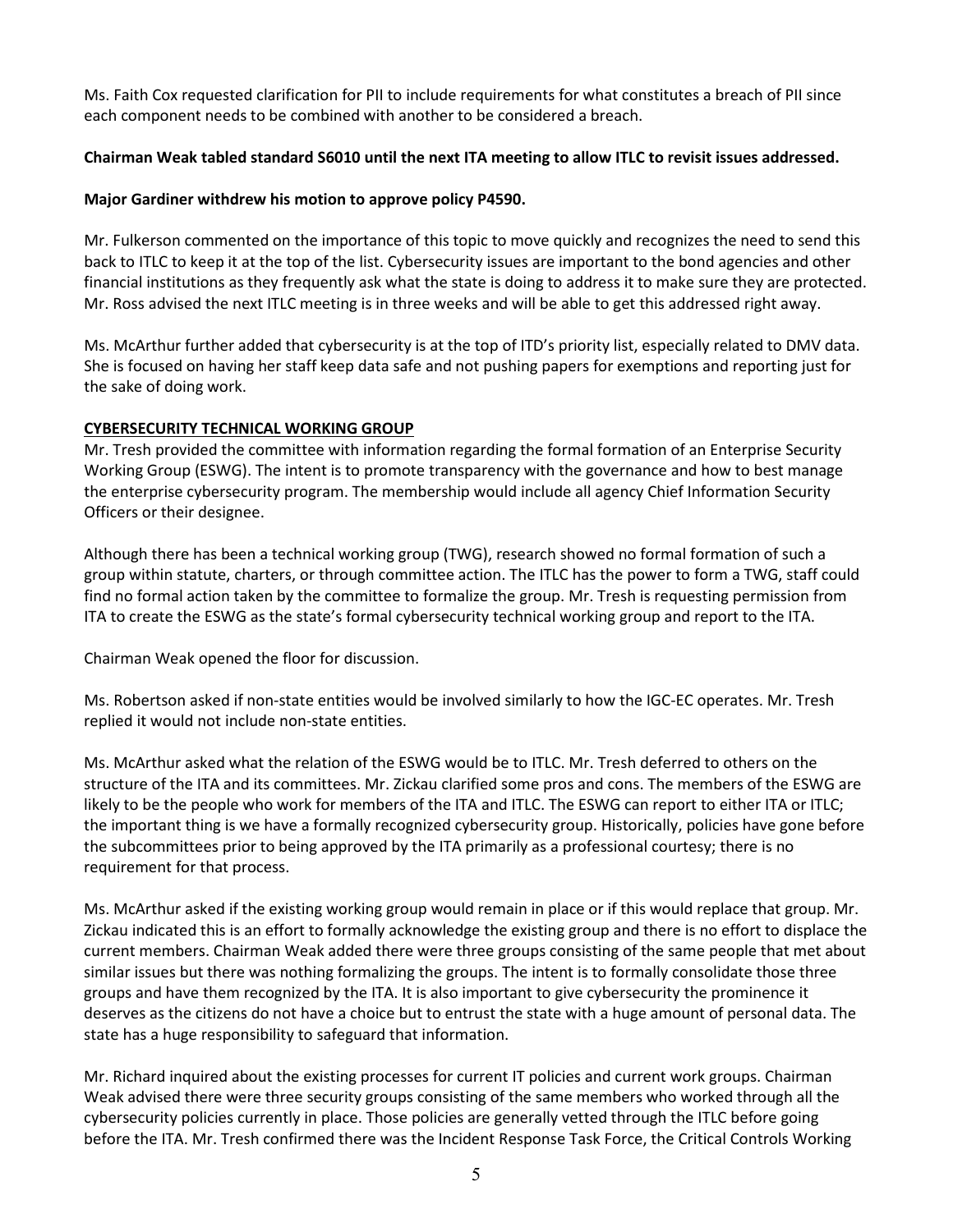Ms. Faith Cox requested clarification for PII to include requirements for what constitutes a breach of PII since each component needs to be combined with another to be considered a breach.

# **Chairman Weak tabled standard S6010 until the next ITA meeting to allow ITLC to revisit issues addressed.**

# **Major Gardiner withdrew his motion to approve policy P4590.**

Mr. Fulkerson commented on the importance of this topic to move quickly and recognizes the need to send this back to ITLC to keep it at the top of the list. Cybersecurity issues are important to the bond agencies and other financial institutions as they frequently ask what the state is doing to address it to make sure they are protected. Mr. Ross advised the next ITLC meeting is in three weeks and will be able to get this addressed right away.

Ms. McArthur further added that cybersecurity is at the top of ITD's priority list, especially related to DMV data. She is focused on having her staff keep data safe and not pushing papers for exemptions and reporting just for the sake of doing work.

# **CYBERSECURITY TECHNICAL WORKING GROUP**

Mr. Tresh provided the committee with information regarding the formal formation of an Enterprise Security Working Group (ESWG). The intent is to promote transparency with the governance and how to best manage the enterprise cybersecurity program. The membership would include all agency Chief Information Security Officers or their designee.

Although there has been a technical working group (TWG), research showed no formal formation of such a group within statute, charters, or through committee action. The ITLC has the power to form a TWG, staff could find no formal action taken by the committee to formalize the group. Mr. Tresh is requesting permission from ITA to create the ESWG as the state's formal cybersecurity technical working group and report to the ITA.

Chairman Weak opened the floor for discussion.

Ms. Robertson asked if non-state entities would be involved similarly to how the IGC-EC operates. Mr. Tresh replied it would not include non-state entities.

Ms. McArthur asked what the relation of the ESWG would be to ITLC. Mr. Tresh deferred to others on the structure of the ITA and its committees. Mr. Zickau clarified some pros and cons. The members of the ESWG are likely to be the people who work for members of the ITA and ITLC. The ESWG can report to either ITA or ITLC; the important thing is we have a formally recognized cybersecurity group. Historically, policies have gone before the subcommittees prior to being approved by the ITA primarily as a professional courtesy; there is no requirement for that process.

Ms. McArthur asked if the existing working group would remain in place or if this would replace that group. Mr. Zickau indicated this is an effort to formally acknowledge the existing group and there is no effort to displace the current members. Chairman Weak added there were three groups consisting of the same people that met about similar issues but there was nothing formalizing the groups. The intent is to formally consolidate those three groups and have them recognized by the ITA. It is also important to give cybersecurity the prominence it deserves as the citizens do not have a choice but to entrust the state with a huge amount of personal data. The state has a huge responsibility to safeguard that information.

Mr. Richard inquired about the existing processes for current IT policies and current work groups. Chairman Weak advised there were three security groups consisting of the same members who worked through all the cybersecurity policies currently in place. Those policies are generally vetted through the ITLC before going before the ITA. Mr. Tresh confirmed there was the Incident Response Task Force, the Critical Controls Working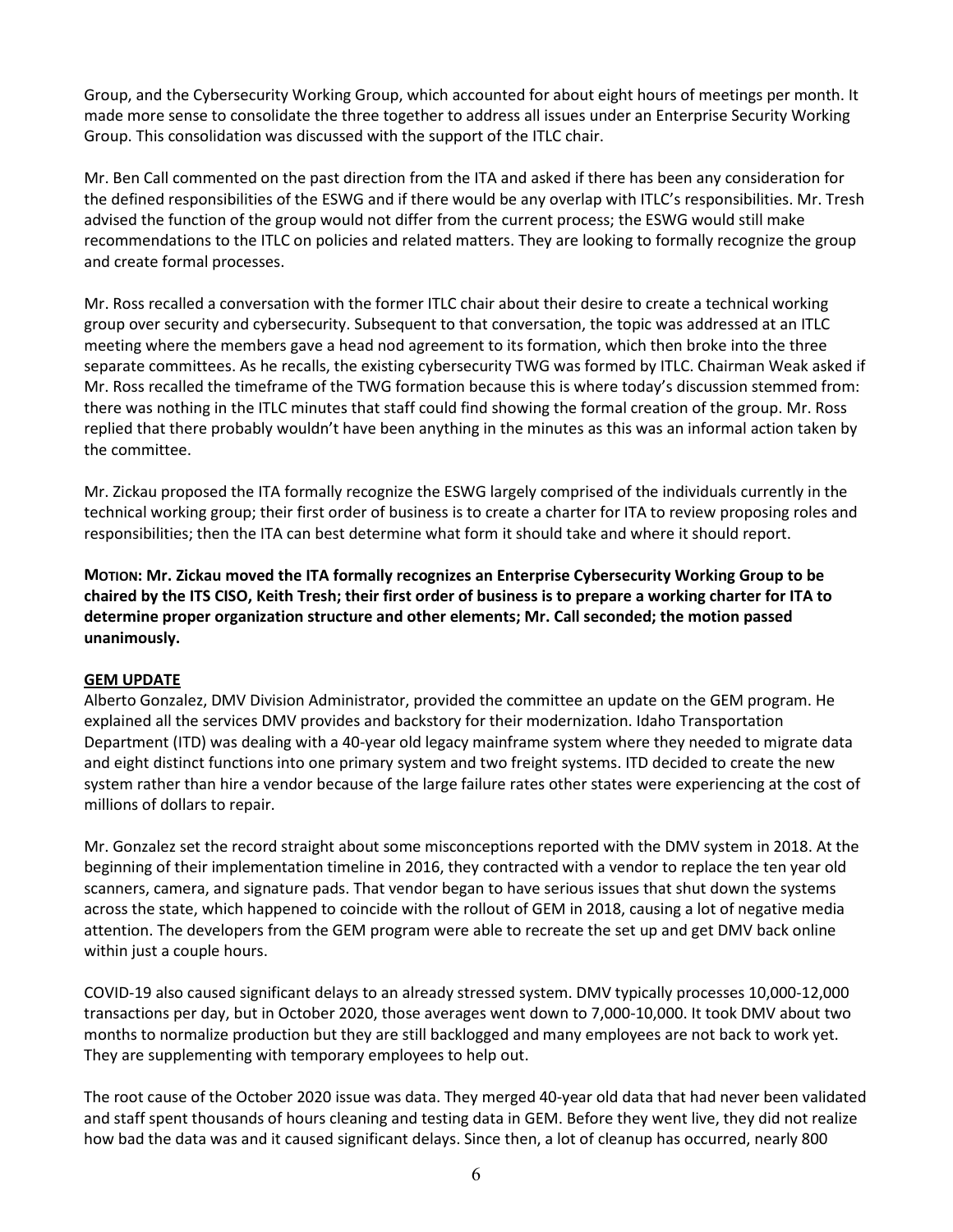Group, and the Cybersecurity Working Group, which accounted for about eight hours of meetings per month. It made more sense to consolidate the three together to address all issues under an Enterprise Security Working Group. This consolidation was discussed with the support of the ITLC chair.

Mr. Ben Call commented on the past direction from the ITA and asked if there has been any consideration for the defined responsibilities of the ESWG and if there would be any overlap with ITLC's responsibilities. Mr. Tresh advised the function of the group would not differ from the current process; the ESWG would still make recommendations to the ITLC on policies and related matters. They are looking to formally recognize the group and create formal processes.

Mr. Ross recalled a conversation with the former ITLC chair about their desire to create a technical working group over security and cybersecurity. Subsequent to that conversation, the topic was addressed at an ITLC meeting where the members gave a head nod agreement to its formation, which then broke into the three separate committees. As he recalls, the existing cybersecurity TWG was formed by ITLC. Chairman Weak asked if Mr. Ross recalled the timeframe of the TWG formation because this is where today's discussion stemmed from: there was nothing in the ITLC minutes that staff could find showing the formal creation of the group. Mr. Ross replied that there probably wouldn't have been anything in the minutes as this was an informal action taken by the committee.

Mr. Zickau proposed the ITA formally recognize the ESWG largely comprised of the individuals currently in the technical working group; their first order of business is to create a charter for ITA to review proposing roles and responsibilities; then the ITA can best determine what form it should take and where it should report.

**MOTION: Mr. Zickau moved the ITA formally recognizes an Enterprise Cybersecurity Working Group to be chaired by the ITS CISO, Keith Tresh; their first order of business is to prepare a working charter for ITA to determine proper organization structure and other elements; Mr. Call seconded; the motion passed unanimously.** 

# **GEM UPDATE**

Alberto Gonzalez, DMV Division Administrator, provided the committee an update on the GEM program. He explained all the services DMV provides and backstory for their modernization. Idaho Transportation Department (ITD) was dealing with a 40-year old legacy mainframe system where they needed to migrate data and eight distinct functions into one primary system and two freight systems. ITD decided to create the new system rather than hire a vendor because of the large failure rates other states were experiencing at the cost of millions of dollars to repair.

Mr. Gonzalez set the record straight about some misconceptions reported with the DMV system in 2018. At the beginning of their implementation timeline in 2016, they contracted with a vendor to replace the ten year old scanners, camera, and signature pads. That vendor began to have serious issues that shut down the systems across the state, which happened to coincide with the rollout of GEM in 2018, causing a lot of negative media attention. The developers from the GEM program were able to recreate the set up and get DMV back online within just a couple hours.

COVID-19 also caused significant delays to an already stressed system. DMV typically processes 10,000-12,000 transactions per day, but in October 2020, those averages went down to 7,000-10,000. It took DMV about two months to normalize production but they are still backlogged and many employees are not back to work yet. They are supplementing with temporary employees to help out.

The root cause of the October 2020 issue was data. They merged 40-year old data that had never been validated and staff spent thousands of hours cleaning and testing data in GEM. Before they went live, they did not realize how bad the data was and it caused significant delays. Since then, a lot of cleanup has occurred, nearly 800